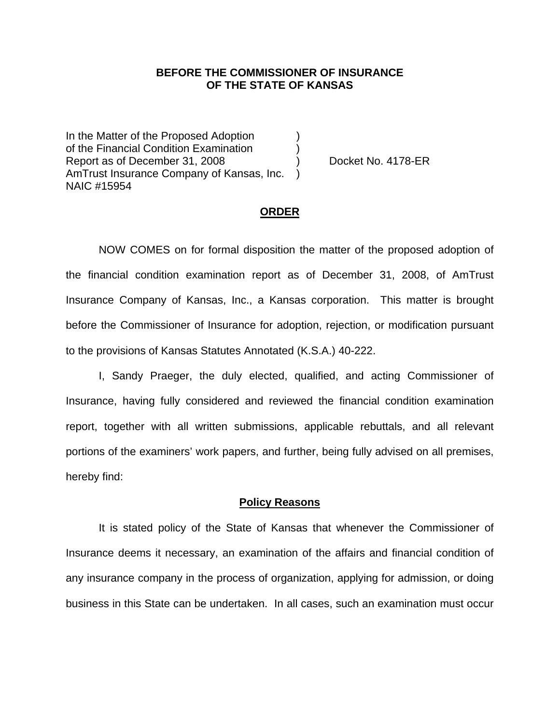## **BEFORE THE COMMISSIONER OF INSURANCE OF THE STATE OF KANSAS**

In the Matter of the Proposed Adoption of the Financial Condition Examination ) Report as of December 31, 2008 (a) Docket No. 4178-ER AmTrust Insurance Company of Kansas, Inc. ) NAIC #15954

#### **ORDER**

 NOW COMES on for formal disposition the matter of the proposed adoption of the financial condition examination report as of December 31, 2008, of AmTrust Insurance Company of Kansas, Inc., a Kansas corporation. This matter is brought before the Commissioner of Insurance for adoption, rejection, or modification pursuant to the provisions of Kansas Statutes Annotated (K.S.A.) 40-222.

 I, Sandy Praeger, the duly elected, qualified, and acting Commissioner of Insurance, having fully considered and reviewed the financial condition examination report, together with all written submissions, applicable rebuttals, and all relevant portions of the examiners' work papers, and further, being fully advised on all premises, hereby find:

### **Policy Reasons**

 It is stated policy of the State of Kansas that whenever the Commissioner of Insurance deems it necessary, an examination of the affairs and financial condition of any insurance company in the process of organization, applying for admission, or doing business in this State can be undertaken. In all cases, such an examination must occur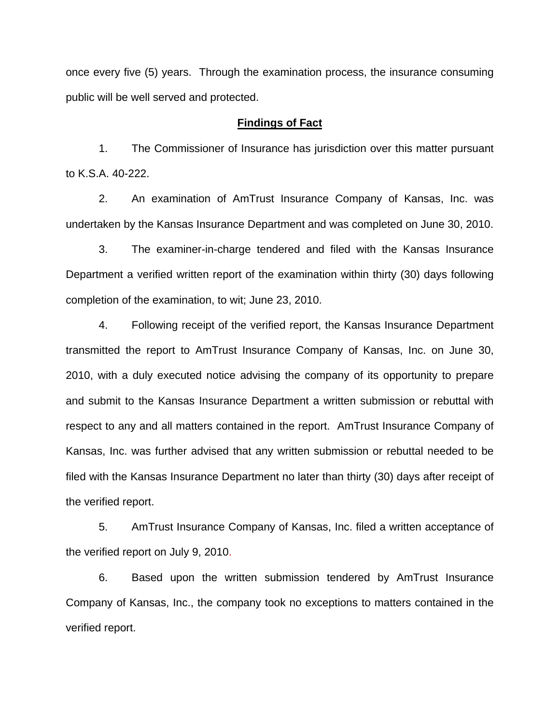once every five (5) years. Through the examination process, the insurance consuming public will be well served and protected.

## **Findings of Fact**

 1. The Commissioner of Insurance has jurisdiction over this matter pursuant to K.S.A. 40-222.

 2. An examination of AmTrust Insurance Company of Kansas, Inc. was undertaken by the Kansas Insurance Department and was completed on June 30, 2010.

 3. The examiner-in-charge tendered and filed with the Kansas Insurance Department a verified written report of the examination within thirty (30) days following completion of the examination, to wit; June 23, 2010.

 4. Following receipt of the verified report, the Kansas Insurance Department transmitted the report to AmTrust Insurance Company of Kansas, Inc. on June 30, 2010, with a duly executed notice advising the company of its opportunity to prepare and submit to the Kansas Insurance Department a written submission or rebuttal with respect to any and all matters contained in the report. AmTrust Insurance Company of Kansas, Inc. was further advised that any written submission or rebuttal needed to be filed with the Kansas Insurance Department no later than thirty (30) days after receipt of the verified report.

 5. AmTrust Insurance Company of Kansas, Inc. filed a written acceptance of the verified report on July 9, 2010.

6. Based upon the written submission tendered by AmTrust Insurance Company of Kansas, Inc., the company took no exceptions to matters contained in the verified report.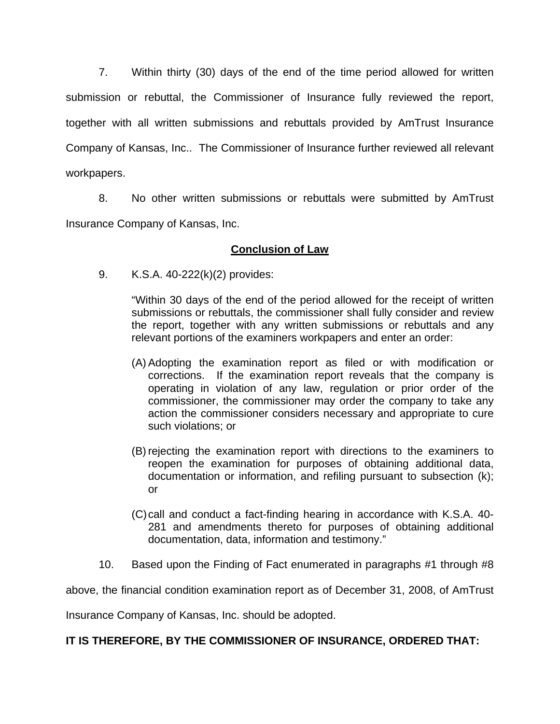7. Within thirty (30) days of the end of the time period allowed for written submission or rebuttal, the Commissioner of Insurance fully reviewed the report, together with all written submissions and rebuttals provided by AmTrust Insurance Company of Kansas, Inc.. The Commissioner of Insurance further reviewed all relevant workpapers.

 8. No other written submissions or rebuttals were submitted by AmTrust Insurance Company of Kansas, Inc.

# **Conclusion of Law**

9. K.S.A. 40-222(k)(2) provides:

"Within 30 days of the end of the period allowed for the receipt of written submissions or rebuttals, the commissioner shall fully consider and review the report, together with any written submissions or rebuttals and any relevant portions of the examiners workpapers and enter an order:

- (A) Adopting the examination report as filed or with modification or corrections. If the examination report reveals that the company is operating in violation of any law, regulation or prior order of the commissioner, the commissioner may order the company to take any action the commissioner considers necessary and appropriate to cure such violations; or
- (B) rejecting the examination report with directions to the examiners to reopen the examination for purposes of obtaining additional data, documentation or information, and refiling pursuant to subsection (k); or
- (C) call and conduct a fact-finding hearing in accordance with K.S.A. 40- 281 and amendments thereto for purposes of obtaining additional documentation, data, information and testimony."
- 10. Based upon the Finding of Fact enumerated in paragraphs #1 through #8

above, the financial condition examination report as of December 31, 2008, of AmTrust

Insurance Company of Kansas, Inc. should be adopted.

# **IT IS THEREFORE, BY THE COMMISSIONER OF INSURANCE, ORDERED THAT:**